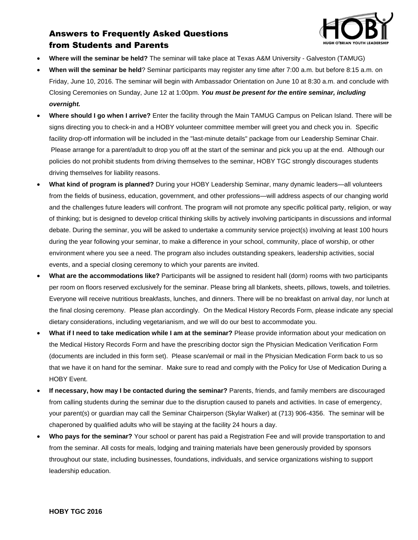

## Answers to Frequently Asked Questions from Students and Parents

- **Where will the seminar be held?** The seminar will take place at Texas A&M University Galveston (TAMUG)
- **When will the seminar be held**? Seminar participants may register any time after 7:00 a.m. but before 8:15 a.m. on Friday, June 10, 2016. The seminar will begin with Ambassador Orientation on June 10 at 8:30 a.m. and conclude with Closing Ceremonies on Sunday, June 12 at 1:00pm. *You must be present for the entire seminar, including overnight.*
- **Where should I go when I arrive?** Enter the facility through the Main TAMUG Campus on Pelican Island. There will be signs directing you to check-in and a HOBY volunteer committee member will greet you and check you in. Specific facility drop-off information will be included in the "last-minute details" package from our Leadership Seminar Chair. Please arrange for a parent/adult to drop you off at the start of the seminar and pick you up at the end. Although our policies do not prohibit students from driving themselves to the seminar, HOBY TGC strongly discourages students driving themselves for liability reasons.
- **What kind of program is planned?** During your HOBY Leadership Seminar, many dynamic leaders—all volunteers from the fields of business, education, government, and other professions—will address aspects of our changing world and the challenges future leaders will confront. The program will not promote any specific political party, religion, or way of thinking; but is designed to develop critical thinking skills by actively involving participants in discussions and informal debate. During the seminar, you will be asked to undertake a community service project(s) involving at least 100 hours during the year following your seminar, to make a difference in your school, community, place of worship, or other environment where you see a need. The program also includes outstanding speakers, leadership activities, social events, and a special closing ceremony to which your parents are invited.
- **What are the accommodations like?** Participants will be assigned to resident hall (dorm) rooms with two participants per room on floors reserved exclusively for the seminar. Please bring all blankets, sheets, pillows, towels, and toiletries. Everyone will receive nutritious breakfasts, lunches, and dinners. There will be no breakfast on arrival day, nor lunch at the final closing ceremony. Please plan accordingly. On the Medical History Records Form, please indicate any special dietary considerations, including vegetarianism, and we will do our best to accommodate you.
- **What if I need to take medication while I am at the seminar?** Please provide information about your medication on the Medical History Records Form and have the prescribing doctor sign the Physician Medication Verification Form (documents are included in this form set). Please scan/email or mail in the Physician Medication Form back to us so that we have it on hand for the seminar. Make sure to read and comply with the Policy for Use of Medication During a HOBY Event.
- **If necessary, how may I be contacted during the seminar?** Parents, friends, and family members are discouraged from calling students during the seminar due to the disruption caused to panels and activities. In case of emergency, your parent(s) or guardian may call the Seminar Chairperson (Skylar Walker) at (713) 906-4356. The seminar will be chaperoned by qualified adults who will be staying at the facility 24 hours a day.
- **Who pays for the seminar?** Your school or parent has paid a Registration Fee and will provide transportation to and from the seminar. All costs for meals, lodging and training materials have been generously provided by sponsors throughout our state, including businesses, foundations, individuals, and service organizations wishing to support leadership education.